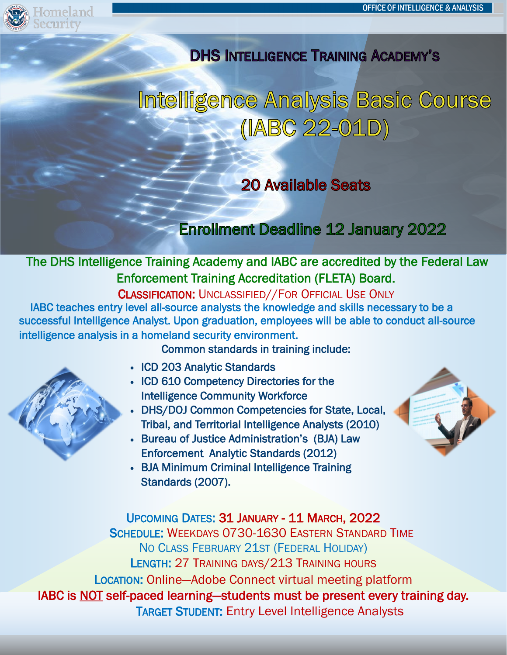

<sub>meland</sub>

## **DHS INTELLIGENCE TRAINING ACADEMY'S**

## Intelligence Analysis Basic Course (IABC 22-01D)

## **20 Available Seats**

## **Enrollment Deadline 12 January 2022**

### The DHS Intelligence Training Academy and IABC are accredited by the Federal Law Enforcement Training Accreditation (FLETA) Board.

CLASSIFICATION: UNCLASSIFIED//FOR OFFICIAL USE ONLY IABC teaches entry level all-source analysts the knowledge and skills necessary to be a successful Intelligence Analyst. Upon graduation, employees will be able to conduct all-source intelligence analysis in a homeland security environment.

Common standards in training include:

• ICD 203 Analytic Standards

í

- ICD 610 Competency Directories for the Intelligence Community Workforce
- DHS/DOJ Common Competencies for State, Local, Tribal, and Territorial Intelligence Analysts (2010)
- Bureau of Justice Administration's (BJA) Law Enforcement Analytic Standards (2012)
- BJA Minimum Criminal Intelligence Training Standards (2007).

UPCOMING DATES: 31 JANUARY - 11 MARCH, 2022 SCHEDULE: WEEKDAYS 0730-1630 EASTERN STANDARD TIME NO CLASS FEBRUARY 21ST (FEDERAL HOLIDAY) LENGTH: 27 TRAINING DAYS/213 TRAINING HOURS LOCATION: Online—Adobe Connect virtual meeting platform IABC is NOT self-paced learning—students must be present every training day. TARGET STUDENT: Entry Level Intelligence Analysts